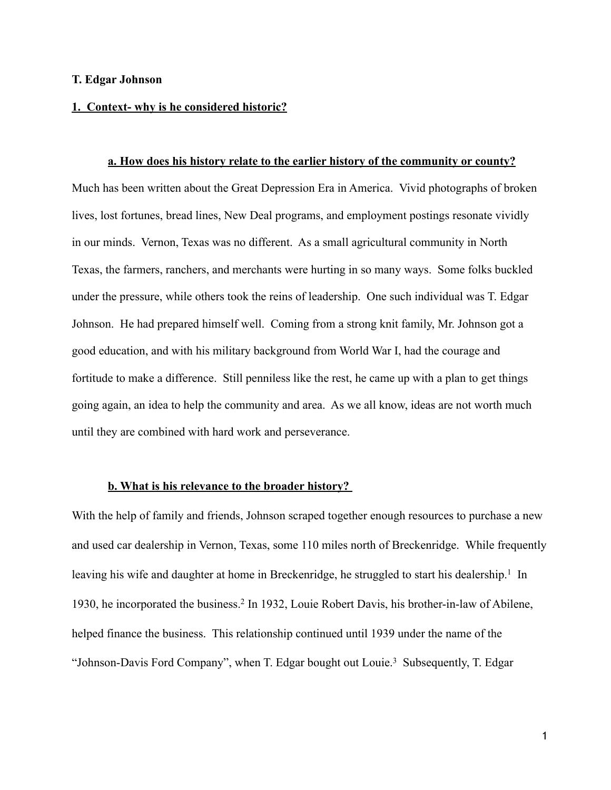### **T. Edgar Johnson**

## **1. Context- why is he considered historic?**

**a. How does his history relate to the earlier history of the community or county?** Much has been written about the Great Depression Era in America. Vivid photographs of broken lives, lost fortunes, bread lines, New Deal programs, and employment postings resonate vividly in our minds. Vernon, Texas was no different. As a small agricultural community in North Texas, the farmers, ranchers, and merchants were hurting in so many ways. Some folks buckled under the pressure, while others took the reins of leadership. One such individual was T. Edgar Johnson. He had prepared himself well. Coming from a strong knit family, Mr. Johnson got a good education, and with his military background from World War I, had the courage and fortitude to make a difference. Still penniless like the rest, he came up with a plan to get things going again, an idea to help the community and area. As we all know, ideas are not worth much until they are combined with hard work and perseverance.

#### **b. What is his relevance to the broader history?**

With the help of family and friends, Johnson scraped together enough resources to purchase a new and used car dealership in Vernon, Texas, some 110 miles north of Breckenridge. While frequently leaving his wife and daughter at home in Breckenridge, he struggled to start his dealership.<sup>1</sup> In 1930, he incorporated the business.<sup>2</sup> In 1932, Louie Robert Davis, his brother-in-law of Abilene, helped finance the business. This relationship continued until 1939 under the name of the "Johnson-Davis Ford Company", when T. Edgar bought out Louie.<sup>3</sup> Subsequently, T. Edgar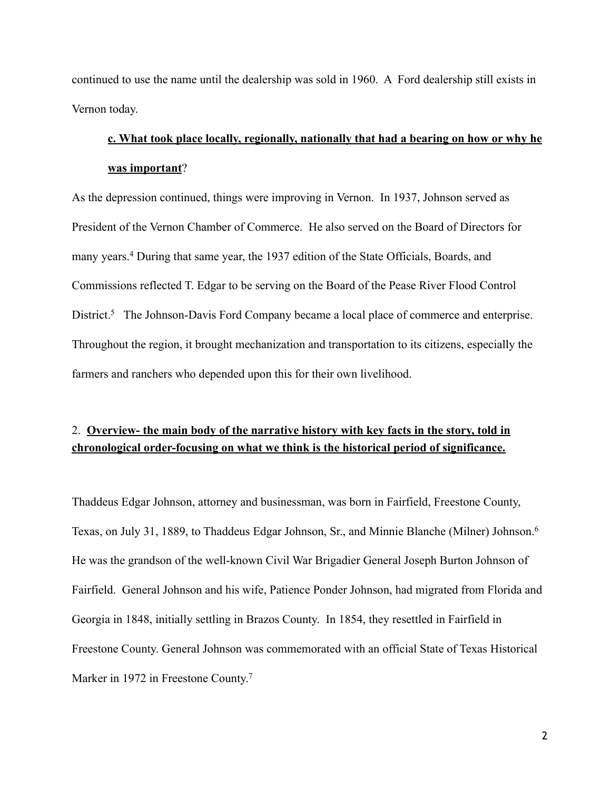continued to use the name until the dealership was sold in 1960. A Ford dealership still exists in Vernon today.

# **c. What took place locally, regionally, nationally that had a bearing on how or why he was important**?

As the depression continued, things were improving in Vernon. In 1937, Johnson served as President of the Vernon Chamber of Commerce. He also served on the Board of Directors for many years.<sup>4</sup> During that same year, the 1937 edition of the State Officials, Boards, and Commissions reflected T. Edgar to be serving on the Board of the Pease River Flood Control District.<sup>5</sup> The Johnson-Davis Ford Company became a local place of commerce and enterprise. Throughout the region, it brought mechanization and transportation to its citizens, especially the farmers and ranchers who depended upon this for their own livelihood.

## 2. **Overview- the main body of the narrative history with key facts in the story, told in chronological order-focusing on what we think is the historical period of significance.**

Thaddeus Edgar Johnson, attorney and businessman, was born in Fairfield, Freestone County, Texas, on July 31, 1889, to Thaddeus Edgar Johnson, Sr., and Minnie Blanche (Milner) Johnson. 6 He was the grandson of the well-known Civil War Brigadier General Joseph Burton Johnson of Fairfield. General Johnson and his wife, Patience Ponder Johnson, had migrated from Florida and Georgia in 1848, initially settling in Brazos County. In 1854, they resettled in Fairfield in Freestone County. General Johnson was commemorated with an official State of Texas Historical Marker in 1972 in Freestone County.<sup>7</sup>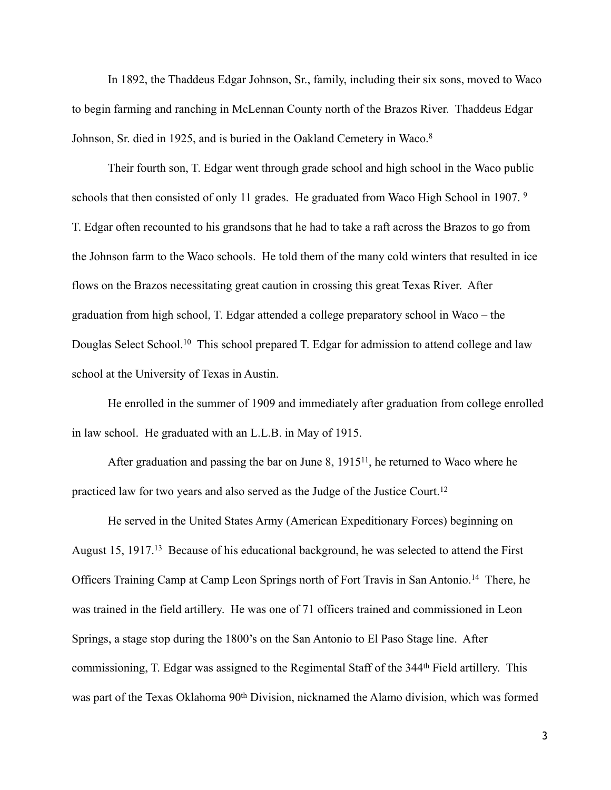In 1892, the Thaddeus Edgar Johnson, Sr., family, including their six sons, moved to Waco to begin farming and ranching in McLennan County north of the Brazos River. Thaddeus Edgar Johnson, Sr. died in 1925, and is buried in the Oakland Cemetery in Waco. 8

Their fourth son, T. Edgar went through grade school and high school in the Waco public schools that then consisted of only 11 grades. He graduated from Waco High School in 1907. 9 T. Edgar often recounted to his grandsons that he had to take a raft across the Brazos to go from the Johnson farm to the Waco schools. He told them of the many cold winters that resulted in ice flows on the Brazos necessitating great caution in crossing this great Texas River. After graduation from high school, T. Edgar attended a college preparatory school in Waco – the Douglas Select School.<sup>10</sup> This school prepared T. Edgar for admission to attend college and law school at the University of Texas in Austin.

He enrolled in the summer of 1909 and immediately after graduation from college enrolled in law school. He graduated with an L.L.B. in May of 1915.

After graduation and passing the bar on June 8,  $1915<sup>11</sup>$ , he returned to Waco where he practiced law for two years and also served as the Judge of the Justice Court.12

He served in the United States Army (American Expeditionary Forces) beginning on August 15, 1917.<sup>13</sup> Because of his educational background, he was selected to attend the First Officers Training Camp at Camp Leon Springs north of Fort Travis in San Antonio.<sup>14</sup> There, he was trained in the field artillery. He was one of 71 officers trained and commissioned in Leon Springs, a stage stop during the 1800's on the San Antonio to El Paso Stage line. After commissioning, T. Edgar was assigned to the Regimental Staff of the 344<sup>th</sup> Field artillery. This was part of the Texas Oklahoma 90<sup>th</sup> Division, nicknamed the Alamo division, which was formed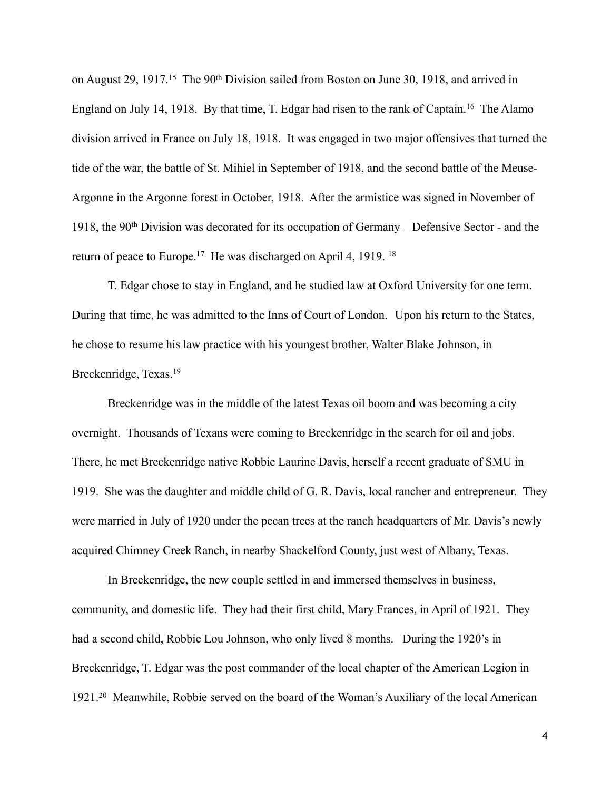on August 29, 1917.<sup>15</sup> The 90<sup>th</sup> Division sailed from Boston on June 30, 1918, and arrived in England on July 14, 1918. By that time, T. Edgar had risen to the rank of Captain.<sup>16</sup> The Alamo division arrived in France on July 18, 1918. It was engaged in two major offensives that turned the tide of the war, the battle of St. Mihiel in September of 1918, and the second battle of the Meuse-Argonne in the Argonne forest in October, 1918. After the armistice was signed in November of 1918, the 90th Division was decorated for its occupation of Germany – Defensive Sector - and the return of peace to Europe.<sup>17</sup> He was discharged on April 4, 1919.<sup>18</sup>

T. Edgar chose to stay in England, and he studied law at Oxford University for one term. During that time, he was admitted to the Inns of Court of London. Upon his return to the States, he chose to resume his law practice with his youngest brother, Walter Blake Johnson, in Breckenridge, Texas.19

Breckenridge was in the middle of the latest Texas oil boom and was becoming a city overnight. Thousands of Texans were coming to Breckenridge in the search for oil and jobs. There, he met Breckenridge native Robbie Laurine Davis, herself a recent graduate of SMU in 1919. She was the daughter and middle child of G. R. Davis, local rancher and entrepreneur. They were married in July of 1920 under the pecan trees at the ranch headquarters of Mr. Davis's newly acquired Chimney Creek Ranch, in nearby Shackelford County, just west of Albany, Texas.

In Breckenridge, the new couple settled in and immersed themselves in business, community, and domestic life. They had their first child, Mary Frances, in April of 1921. They had a second child, Robbie Lou Johnson, who only lived 8 months. During the 1920's in Breckenridge, T. Edgar was the post commander of the local chapter of the American Legion in 1921.<sup>20</sup> Meanwhile, Robbie served on the board of the Woman's Auxiliary of the local American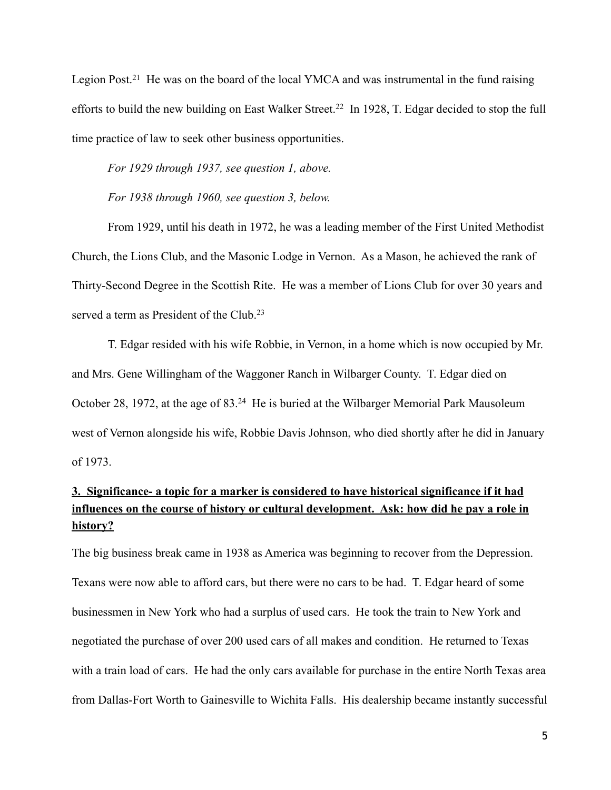Legion Post.<sup>21</sup> He was on the board of the local YMCA and was instrumental in the fund raising efforts to build the new building on East Walker Street.<sup>22</sup> In 1928, T. Edgar decided to stop the full time practice of law to seek other business opportunities.

*For 1929 through 1937, see question 1, above.*

*For 1938 through 1960, see question 3, below.*

From 1929, until his death in 1972, he was a leading member of the First United Methodist Church, the Lions Club, and the Masonic Lodge in Vernon. As a Mason, he achieved the rank of Thirty-Second Degree in the Scottish Rite. He was a member of Lions Club for over 30 years and served a term as President of the Club.<sup>23</sup>

T. Edgar resided with his wife Robbie, in Vernon, in a home which is now occupied by Mr. and Mrs. Gene Willingham of the Waggoner Ranch in Wilbarger County. T. Edgar died on October 28, 1972, at the age of  $83<sup>24</sup>$  He is buried at the Wilbarger Memorial Park Mausoleum west of Vernon alongside his wife, Robbie Davis Johnson, who died shortly after he did in January of 1973.

# **3. Significance- a topic for a marker is considered to have historical significance if it had influences on the course of history or cultural development. Ask: how did he pay a role in history?**

The big business break came in 1938 as America was beginning to recover from the Depression. Texans were now able to afford cars, but there were no cars to be had. T. Edgar heard of some businessmen in New York who had a surplus of used cars. He took the train to New York and negotiated the purchase of over 200 used cars of all makes and condition. He returned to Texas with a train load of cars. He had the only cars available for purchase in the entire North Texas area from Dallas-Fort Worth to Gainesville to Wichita Falls. His dealership became instantly successful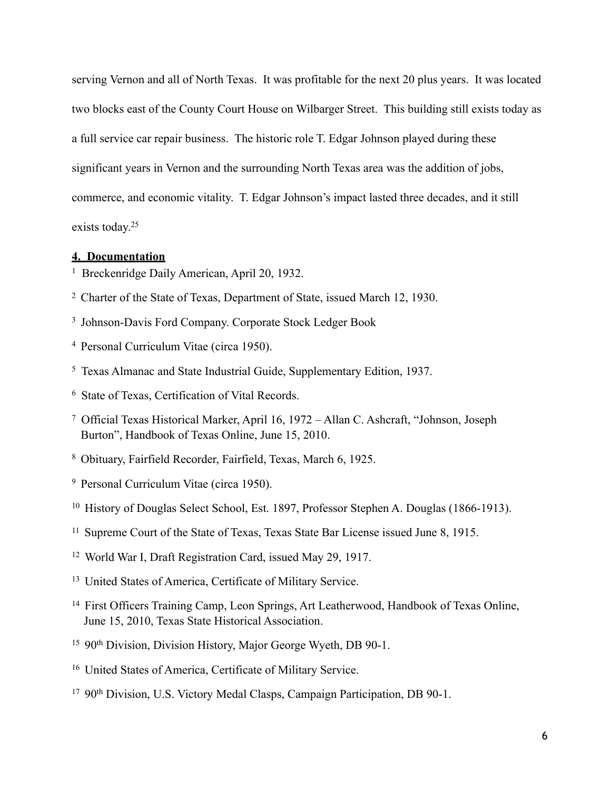serving Vernon and all of North Texas. It was profitable for the next 20 plus years. It was located two blocks east of the County Court House on Wilbarger Street. This building still exists today as a full service car repair business. The historic role T. Edgar Johnson played during these significant years in Vernon and the surrounding North Texas area was the addition of jobs, commerce, and economic vitality. T. Edgar Johnson's impact lasted three decades, and it still exists today.25

### **4. Documentation**

- <sup>1</sup> Breckenridge Daily American, April 20, 1932.
- <sup>2</sup> Charter of the State of Texas, Department of State, issued March 12, 1930.
- <sup>3</sup> Johnson-Davis Ford Company. Corporate Stock Ledger Book
- <sup>4</sup> Personal Curriculum Vitae (circa 1950).
- <sup>5</sup> Texas Almanac and State Industrial Guide, Supplementary Edition, 1937.
- <sup>6</sup> State of Texas, Certification of Vital Records.
- Official Texas Historical Marker, April 16, 1972 Allan C. Ashcraft, "Johnson, Joseph 7 Burton", Handbook of Texas Online, June 15, 2010.
- Obituary, Fairfield Recorder, Fairfield, Texas, March 6, 1925. <sup>8</sup>
- <sup>9</sup> Personal Curriculum Vitae (circa 1950).
- <sup>10</sup> History of Douglas Select School, Est. 1897, Professor Stephen A. Douglas (1866-1913).
- <sup>11</sup> Supreme Court of the State of Texas, Texas State Bar License issued June 8, 1915.
- <sup>12</sup> World War I, Draft Registration Card, issued May 29, 1917.
- <sup>13</sup> United States of America, Certificate of Military Service.
- <sup>14</sup> First Officers Training Camp, Leon Springs, Art Leatherwood, Handbook of Texas Online, June 15, 2010, Texas State Historical Association.
- <sup>15</sup> 90<sup>th</sup> Division, Division History, Major George Wyeth, DB 90-1.
- <sup>16</sup> United States of America, Certificate of Military Service.
- <sup>17</sup> 90<sup>th</sup> Division, U.S. Victory Medal Clasps, Campaign Participation, DB 90-1.